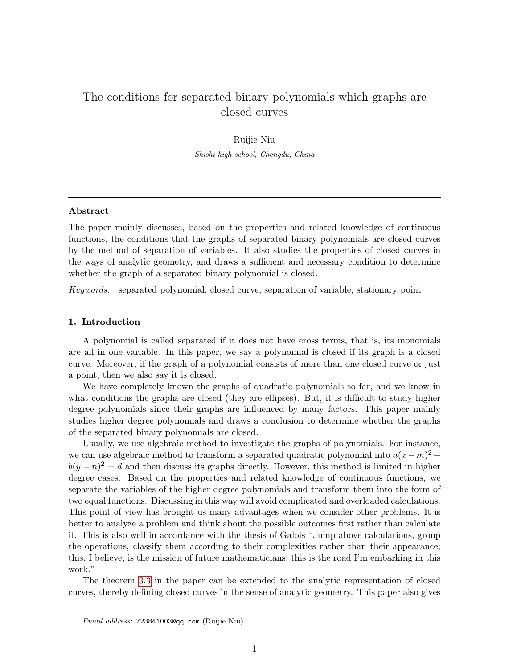# The conditions for separated binary polynomials which graphs are closed curves

Ruijie Niu Shishi high school, Chengdu, China

# Abstract

The paper mainly discusses, based on the properties and related knowledge of continuous functions, the conditions that the graphs of separated binary polynomials are closed curves by the method of separation of variables. It also studies the properties of closed curves in the ways of analytic geometry, and draws a sufficient and necessary condition to determine whether the graph of a separated binary polynomial is closed.

Keywords: separated polynomial, closed curve, separation of variable, stationary point

### 1. Introduction

A polynomial is called separated if it does not have cross terms, that is, its monomials are all in one variable. In this paper, we say a polynomial is closed if its graph is a closed curve. Moreover, if the graph of a polynomial consists of more than one closed curve or just a point, then we also say it is closed.

We have completely known the graphs of quadratic polynomials so far, and we know in what conditions the graphs are closed (they are ellipses). But, it is difficult to study higher degree polynomials since their graphs are influenced by many factors. This paper mainly studies higher degree polynomials and draws a conclusion to determine whether the graphs of the separated binary polynomials are closed.

Usually, we use algebraic method to investigate the graphs of polynomials. For instance, we can use algebraic method to transform a separated quadratic polynomial into  $a(x-m)^2 + b$  $b(y - n)^2 = d$  and then discuss its graphs directly. However, this method is limited in higher degree cases. Based on the properties and related knowledge of continuous functions, we separate the variables of the higher degree polynomials and transform them into the form of two equal functions. Discussing in this way will avoid complicated and overloaded calculations. This point of view has brought us many advantages when we consider other problems. It is better to analyze a problem and think about the possible outcomes first rather than calculate it. This is also well in accordance with the thesis of Galois "Jump above calculations, group the operations, classify them according to their complexities rather than their appearance; this, I believe, is the mission of future mathematicians; this is the road I'm embarking in this work."

The theorem [3.3](#page-5-0) in the paper can be extended to the analytic representation of closed curves, thereby defining closed curves in the sense of analytic geometry. This paper also gives

Email address: 723841003@qq.com (Ruijie Niu)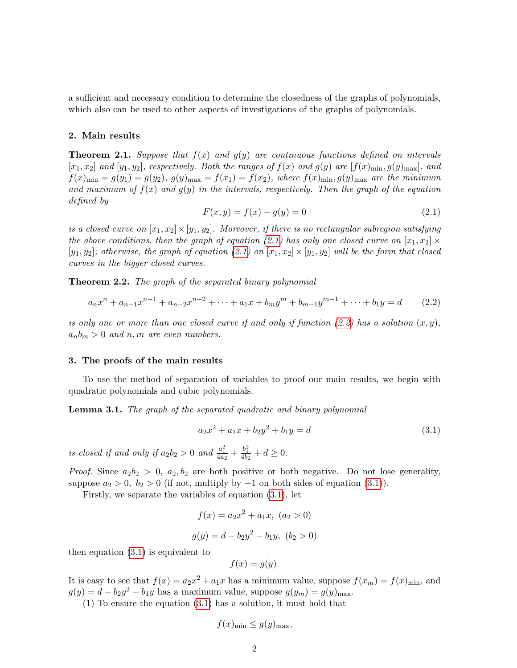a sufficient and necessary condition to determine the closedness of the graphs of polynomials, which also can be used to other aspects of investigations of the graphs of polynomials.

## 2. Main results

**Theorem 2.1.** Suppose that  $f(x)$  and  $g(y)$  are continuous functions defined on intervals  $[x_1, x_2]$  and  $[y_1, y_2]$ , respectively. Both the ranges of  $f(x)$  and  $g(y)$  are  $[f(x)_{\min}, g(y)_{\max}]$ , and  $f(x)_{\min} = g(y_1) = g(y_2), g(y)_{\max} = f(x_1) = f(x_2),$  where  $f(x)_{\min}, g(y)_{\max}$  are the minimum and maximum of  $f(x)$  and  $g(y)$  in the intervals, respectively. Then the graph of the equation defined by

<span id="page-1-0"></span>
$$
F(x, y) = f(x) - g(y) = 0
$$
\n(2.1)

is a closed curve on  $[x_1, x_2] \times [y_1, y_2]$ . Moreover, if there is no rectangular subregion satisfying the above conditions, then the graph of equation [\(2.1\)](#page-1-0) has only one closed curve on  $[x_1, x_2] \times$  $[y_1, y_2]$ ; otherwise, the graph of equation [\(2.1\)](#page-1-0) on  $[x_1, x_2] \times [y_1, y_2]$  will be the form that closed curves in the bigger closed curves.

**Theorem 2.2.** The graph of the separated binary polynomial

<span id="page-1-1"></span>
$$
a_n x^n + a_{n-1} x^{n-1} + a_{n-2} x^{n-2} + \dots + a_1 x + b_m y^m + b_{m-1} y^{m-1} + \dots + b_1 y = d \qquad (2.2)
$$

is only one or more than one closed curve if and only if function  $(2.2)$  has a solution  $(x, y)$ ,  $a_n b_m > 0$  and n, m are even numbers.

# 3. The proofs of the main results

To use the method of separation of variables to proof our main results, we begin with quadratic polynomials and cubic polynomials.

<span id="page-1-3"></span>Lemma 3.1. The graph of the separated quadratic and binary polynomial

<span id="page-1-2"></span>
$$
a_2x^2 + a_1x + b_2y^2 + b_1y = d \tag{3.1}
$$

is closed if and only if  $a_2b_2 > 0$  and  $\frac{a_1^2}{4a_2} + \frac{b_1^2}{4b_2} + d \ge 0$ .

*Proof.* Since  $a_2b_2 > 0$ ,  $a_2, b_2$  are both positive or both negative. Do not lose generality, suppose  $a_2 > 0$ ,  $b_2 > 0$  (if not, multiply by  $-1$  on both sides of equation [\(3.1\)](#page-1-2)).

Firstly, we separate the variables of equation [\(3.1\)](#page-1-2), let

$$
f(x) = a_2x^2 + a_1x, (a_2 > 0)
$$
  

$$
g(y) = d - b_2y^2 - b_1y, (b_2 > 0)
$$

then equation [\(3.1\)](#page-1-2) is equivalent to

$$
f(x) = g(y).
$$

It is easy to see that  $f(x) = a_2x^2 + a_1x$  has a minimum value, suppose  $f(x_m) = f(x)_{\text{min}}$ , and  $g(y) = d - b_2y^2 - b_1y$  has a maximum value, suppose  $g(y_m) = g(y)_{\text{max}}$ .

(1) To ensure the equation [\(3.1\)](#page-1-2) has a solution, it must hold that

$$
f(x)_{\min} \le g(y)_{\max},
$$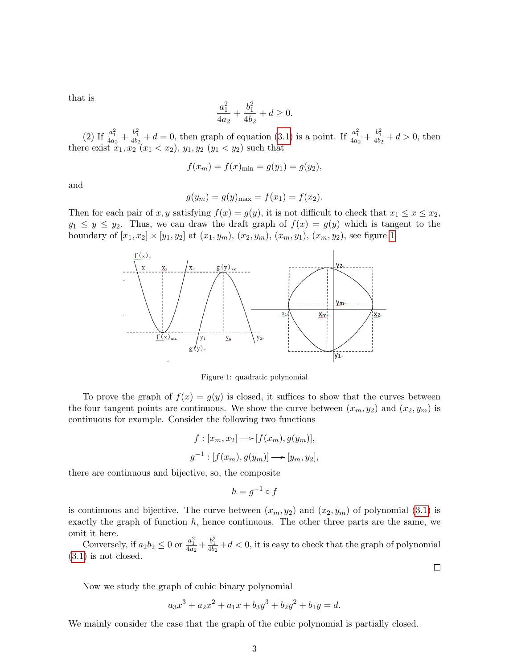that is

$$
\frac{a_1^2}{4a_2} + \frac{b_1^2}{4b_2} + d \ge 0.
$$

(2) If  $\frac{a_1^2}{4a_2} + \frac{b_1^2}{4b_2} + d = 0$ , then graph of equation [\(3.1\)](#page-1-2) is a point. If  $\frac{a_1^2}{4a_2} + \frac{b_1^2}{4b_2} + d > 0$ , then there exist  $x_1, x_2$   $(x_1 < x_2), y_1, y_2$   $(y_1 < y_2)$  such that

$$
f(x_m) = f(x)_{\min} = g(y_1) = g(y_2),
$$

and

$$
g(y_m) = g(y)_{\text{max}} = f(x_1) = f(x_2).
$$

Then for each pair of x, y satisfying  $f(x) = g(y)$ , it is not difficult to check that  $x_1 \leq x \leq x_2$ ,  $y_1 \leq y \leq y_2$ . Thus, we can draw the draft graph of  $f(x) = g(y)$  which is tangent to the boundary of  $[x_1, x_2] \times [y_1, y_2]$  at  $(x_1, y_m)$ ,  $(x_2, y_m)$ ,  $(x_m, y_1)$ ,  $(x_m, y_2)$ , see figure [1.](#page-2-0)



<span id="page-2-0"></span>Figure 1: quadratic polynomial

To prove the graph of  $f(x) = g(y)$  is closed, it suffices to show that the curves between the four tangent points are continuous. We show the curve between  $(x_m, y_2)$  and  $(x_2, y_m)$  is continuous for example. Consider the following two functions

$$
f: [x_m, x_2] \longrightarrow [f(x_m), g(y_m)],
$$
  

$$
g^{-1}: [f(x_m), g(y_m)] \longrightarrow [y_m, y_2],
$$

there are continuous and bijective, so, the composite

$$
h = g^{-1} \circ f
$$

is continuous and bijective. The curve between  $(x_m, y_2)$  and  $(x_2, y_m)$  of polynomial [\(3.1\)](#page-1-2) is exactly the graph of function  $h$ , hence continuous. The other three parts are the same, we omit it here.

Conversely, if  $a_2b_2 \leq 0$  or  $\frac{a_1^2}{4a_2} + \frac{b_1^2}{4b_2} + d < 0$ , it is easy to check that the graph of polynomial [\(3.1\)](#page-1-2) is not closed.

 $\Box$ 

Now we study the graph of cubic binary polynomial

 $a_3x^3 + a_2x^2 + a_1x + b_3y^3 + b_2y^2 + b_1y = d.$ 

We mainly consider the case that the graph of the cubic polynomial is partially closed.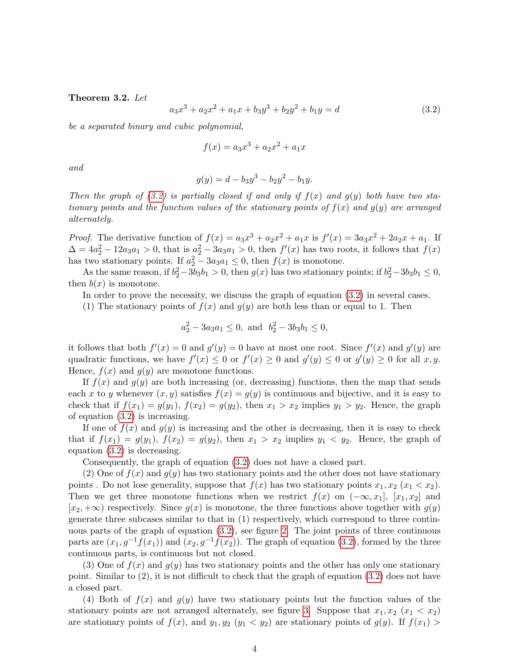### <span id="page-3-1"></span>Theorem 3.2. Let

<span id="page-3-0"></span>
$$
a_3x^3 + a_2x^2 + a_1x + b_3y^3 + b_2y^2 + b_1y = d \tag{3.2}
$$

be a separated binary and cubic polynomial,

$$
f(x) = a_3 x^3 + a_2 x^2 + a_1 x
$$

and

$$
g(y) = d - b_3 y^3 - b_2 y^2 - b_1 y.
$$

Then the graph of [\(3.2\)](#page-3-0) is partially closed if and only if  $f(x)$  and  $g(y)$  both have two stationary points and the function values of the stationary points of  $f(x)$  and  $g(y)$  are arranged alternately.

*Proof.* The derivative function of  $f(x) = a_3x^3 + a_2x^2 + a_1x$  is  $f'(x) = 3a_3x^2 + 2a_2x + a_1$ . If  $\Delta = 4a_2^2 - 12a_3a_1 > 0$ , that is  $a_2^2 - 3a_3a_1 > 0$ , then  $f'(x)$  has two roots, it follows that  $f(x)$ has two stationary points. If  $a_2^2 - 3a_3a_1 \leq 0$ , then  $f(x)$  is monotone.

As the same reason, if  $b_2^2 - 3b_3b_1 > 0$ , then  $g(x)$  has two stationary points; if  $b_2^2 - 3b_3b_1 \leq 0$ , then  $b(x)$  is monotone.

In order to prove the necessity, we discuss the graph of equation [\(3.2\)](#page-3-0) in several cases.

(1) The stationary points of  $f(x)$  and  $g(y)$  are both less than or equal to 1. Then

$$
a_2^2 - 3a_3a_1 \le 0
$$
, and  $b_2^2 - 3b_3b_1 \le 0$ ,

it follows that both  $f'(x) = 0$  and  $g'(y) = 0$  have at most one root. Since  $f'(x)$  and  $g'(y)$  are quadratic functions, we have  $f'(x) \leq 0$  or  $f'(x) \geq 0$  and  $g'(y) \leq 0$  or  $g'(y) \geq 0$  for all  $x, y$ . Hence,  $f(x)$  and  $g(y)$  are monotone functions.

If  $f(x)$  and  $g(y)$  are both increasing (or, decreasing) functions, then the map that sends each x to y whenever  $(x, y)$  satisfies  $f(x) = g(y)$  is continuous and bijective, and it is easy to check that if  $f(x_1) = g(y_1)$ ,  $f(x_2) = g(y_2)$ , then  $x_1 > x_2$  implies  $y_1 > y_2$ . Hence, the graph of equation [\(3.2\)](#page-3-0) is increasing.

If one of  $f(x)$  and  $g(y)$  is increasing and the other is decreasing, then it is easy to check that if  $f(x_1) = g(y_1)$ ,  $f(x_2) = g(y_2)$ , then  $x_1 > x_2$  implies  $y_1 < y_2$ . Hence, the graph of equation [\(3.2\)](#page-3-0) is decreasing.

Consequently, the graph of equation [\(3.2\)](#page-3-0) does not have a closed part.

(2) One of  $f(x)$  and  $g(y)$  has two stationary points and the other does not have stationary points . Do not lose generality, suppose that  $f(x)$  has two stationary points  $x_1, x_2$   $(x_1 < x_2)$ . Then we get three monotone functions when we restrict  $f(x)$  on  $(-\infty, x_1]$ ,  $[x_1, x_2]$  and  $[x_2, +\infty)$  respectively. Since  $g(x)$  is monotone, the three functions above together with  $g(y)$ generate three subcases similar to that in (1) respectively, which correspond to three continuous parts of the graph of equation [\(3.2\)](#page-3-0), see figure [2.](#page-4-0) The joint points of three continuous parts are  $(x_1, g^{-1}f(x_1))$  and  $(x_2, g^{-1}f(x_2))$ . The graph of equation [\(3.2\)](#page-3-0), formed by the three continuous parts, is continuous but not closed.

(3) One of  $f(x)$  and  $g(y)$  has two stationary points and the other has only one stationary point. Similar to (2), it is not difficult to check that the graph of equation [\(3.2\)](#page-3-0) does not have a closed part.

(4) Both of  $f(x)$  and  $g(y)$  have two stationary points but the function values of the stationary points are not arranged alternately, see figure [3.](#page-4-1) Suppose that  $x_1, x_2$  ( $x_1 < x_2$ ) are stationary points of  $f(x)$ , and  $y_1, y_2$   $(y_1 < y_2)$  are stationary points of  $g(y)$ . If  $f(x_1) >$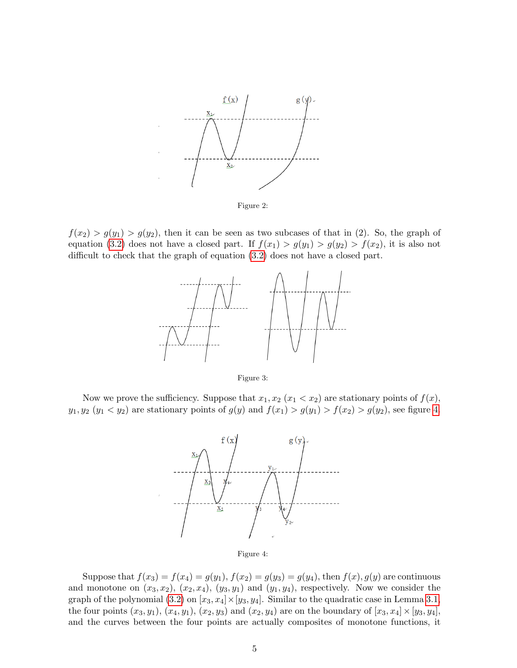

<span id="page-4-0"></span>Figure 2:

 $f(x_2) > g(y_1) > g(y_2)$ , then it can be seen as two subcases of that in (2). So, the graph of equation [\(3.2\)](#page-3-0) does not have a closed part. If  $f(x_1) > g(y_1) > g(y_2) > f(x_2)$ , it is also not difficult to check that the graph of equation [\(3.2\)](#page-3-0) does not have a closed part.



<span id="page-4-1"></span>Figure 3:

Now we prove the sufficiency. Suppose that  $x_1, x_2$   $(x_1 < x_2)$  are stationary points of  $f(x)$ ,  $y_1, y_2 \ (y_1 < y_2)$  are stationary points of  $g(y)$  and  $f(x_1) > g(y_1) > f(x_2) > g(y_2)$ , see figure [4.](#page-4-2)



<span id="page-4-2"></span>

Suppose that  $f(x_3) = f(x_4) = g(y_1)$ ,  $f(x_2) = g(y_3) = g(y_4)$ , then  $f(x)$ ,  $g(y)$  are continuous and monotone on  $(x_3, x_2)$ ,  $(x_2, x_4)$ ,  $(y_3, y_1)$  and  $(y_1, y_4)$ , respectively. Now we consider the graph of the polynomial [\(3.2\)](#page-3-0) on  $[x_3, x_4] \times [y_3, y_4]$ . Similar to the quadratic case in Lemma [3.1,](#page-1-3) the four points  $(x_3, y_1)$ ,  $(x_4, y_1)$ ,  $(x_2, y_3)$  and  $(x_2, y_4)$  are on the boundary of  $[x_3, x_4] \times [y_3, y_4]$ , and the curves between the four points are actually composites of monotone functions, it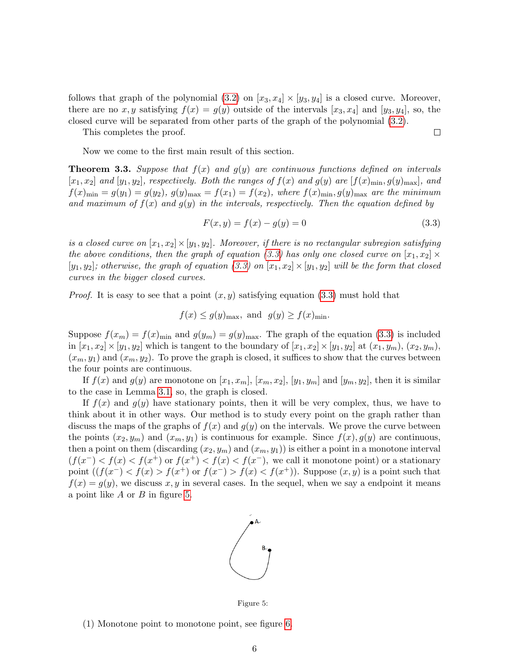follows that graph of the polynomial  $(3.2)$  on  $[x_3, x_4] \times [y_3, y_4]$  is a closed curve. Moreover, there are no x, y satisfying  $f(x) = g(y)$  outside of the intervals  $[x_3, x_4]$  and  $[y_3, y_4]$ , so, the closed curve will be separated from other parts of the graph of the polynomial [\(3.2\)](#page-3-0).

This completes the proof.

 $\Box$ 

Now we come to the first main result of this section.

<span id="page-5-0"></span>**Theorem 3.3.** Suppose that  $f(x)$  and  $g(y)$  are continuous functions defined on intervals  $[x_1, x_2]$  and  $[y_1, y_2]$ , respectively. Both the ranges of  $f(x)$  and  $g(y)$  are  $[f(x)_{\min}, g(y)_{\max}]$ , and  $f(x)_{\min} = g(y_1) = g(y_2), g(y)_{\max} = f(x_1) = f(x_2),$  where  $f(x)_{\min}, g(y)_{\max}$  are the minimum and maximum of  $f(x)$  and  $g(y)$  in the intervals, respectively. Then the equation defined by

<span id="page-5-1"></span>
$$
F(x, y) = f(x) - g(y) = 0
$$
\n(3.3)

is a closed curve on  $[x_1, x_2] \times [y_1, y_2]$ . Moreover, if there is no rectangular subregion satisfying the above conditions, then the graph of equation [\(3.3\)](#page-5-1) has only one closed curve on  $[x_1, x_2] \times$  $[y_1, y_2]$ ; otherwise, the graph of equation [\(3.3\)](#page-5-1) on  $[x_1, x_2] \times [y_1, y_2]$  will be the form that closed curves in the bigger closed curves.

*Proof.* It is easy to see that a point  $(x, y)$  satisfying equation [\(3.3\)](#page-5-1) must hold that

$$
f(x) \le g(y)_{\text{max}}
$$
, and  $g(y) \ge f(x)_{\text{min}}$ .

Suppose  $f(x_m) = f(x)_{\text{min}}$  and  $g(y_m) = g(y)_{\text{max}}$ . The graph of the equation [\(3.3\)](#page-5-1) is included in  $[x_1, x_2] \times [y_1, y_2]$  which is tangent to the boundary of  $[x_1, x_2] \times [y_1, y_2]$  at  $(x_1, y_m)$ ,  $(x_2, y_m)$ ,  $(x_m, y_1)$  and  $(x_m, y_2)$ . To prove the graph is closed, it suffices to show that the curves between the four points are continuous.

If  $f(x)$  and  $g(y)$  are monotone on  $[x_1, x_m], [x_m, x_2], [y_1, y_m]$  and  $[y_m, y_2],$  then it is similar to the case in Lemma [3.1,](#page-1-3) so, the graph is closed.

If  $f(x)$  and  $g(y)$  have stationary points, then it will be very complex, thus, we have to think about it in other ways. Our method is to study every point on the graph rather than discuss the maps of the graphs of  $f(x)$  and  $g(y)$  on the intervals. We prove the curve between the points  $(x_2, y_m)$  and  $(x_m, y_1)$  is continuous for example. Since  $f(x), g(y)$  are continuous, then a point on them (discarding  $(x_2, y_m)$  and  $(x_m, y_1)$ ) is either a point in a monotone interval  $(f(x^-) < f(x) < f(x^+)$  or  $f(x^+) < f(x) < f(x^-)$ , we call it monotone point) or a stationary point  $((f(x^-) < f(x) > f(x^+))$  or  $f(x^-) > f(x) < f(x^+))$ . Suppose  $(x, y)$  is a point such that  $f(x) = g(y)$ , we discuss x, y in several cases. In the sequel, when we say a endpoint it means a point like  $A$  or  $B$  in figure [5.](#page-5-2)



<span id="page-5-2"></span>Figure 5:

(1) Monotone point to monotone point, see figure [6.](#page-6-0)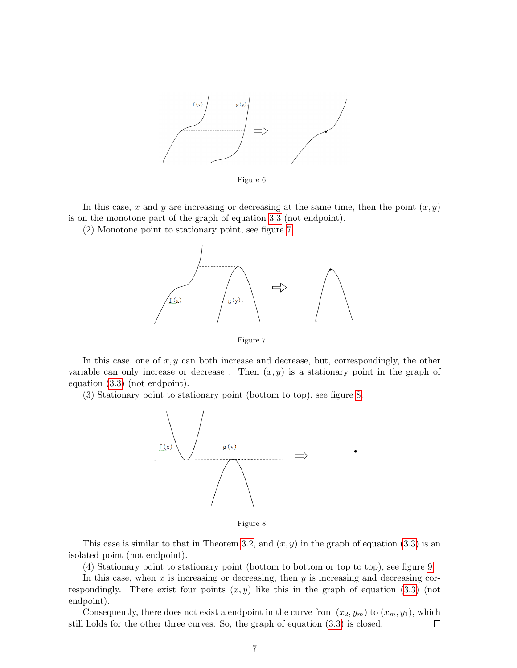

<span id="page-6-0"></span>Figure 6:

In this case, x and y are increasing or decreasing at the same time, then the point  $(x, y)$ is on the monotone part of the graph of equation [3.3](#page-5-1) (not endpoint).

(2) Monotone point to stationary point, see figure [7.](#page-6-1)



<span id="page-6-1"></span>Figure 7:

In this case, one of  $x, y$  can both increase and decrease, but, correspondingly, the other variable can only increase or decrease. Then  $(x, y)$  is a stationary point in the graph of equation [\(3.3\)](#page-5-1) (not endpoint).

(3) Stationary point to stationary point (bottom to top), see figure [8.](#page-6-2)



<span id="page-6-2"></span>Figure 8:

This case is similar to that in Theorem [3.2,](#page-3-1) and  $(x, y)$  in the graph of equation [\(3.3\)](#page-5-1) is an isolated point (not endpoint).

(4) Stationary point to stationary point (bottom to bottom or top to top), see figure [9.](#page-7-0)

In this case, when  $x$  is increasing or decreasing, then  $y$  is increasing and decreasing correspondingly. There exist four points  $(x, y)$  like this in the graph of equation [\(3.3\)](#page-5-1) (not endpoint).

Consequently, there does not exist a endpoint in the curve from  $(x_2, y_m)$  to  $(x_m, y_1)$ , which still holds for the other three curves. So, the graph of equation [\(3.3\)](#page-5-1) is closed.  $\Box$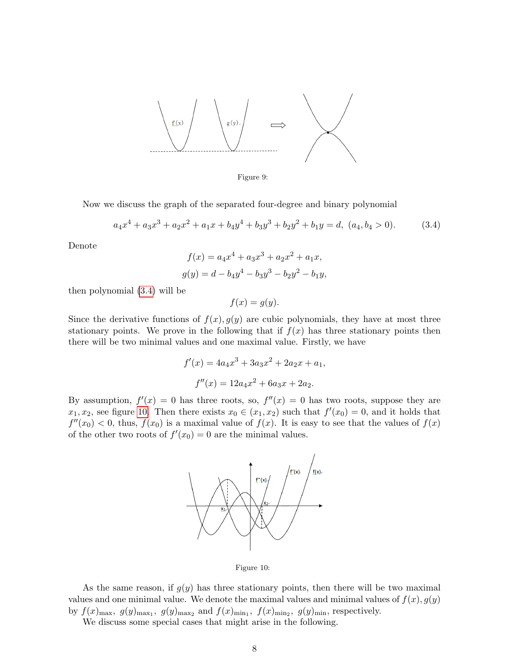

<span id="page-7-0"></span>Figure 9:

Now we discuss the graph of the separated four-degree and binary polynomial

<span id="page-7-1"></span>
$$
a_4x^4 + a_3x^3 + a_2x^2 + a_1x + b_4y^4 + b_3y^3 + b_2y^2 + b_1y = d, (a_4, b_4 > 0).
$$
 (3.4)

Denote

$$
f(x) = a_4x^4 + a_3x^3 + a_2x^2 + a_1x,
$$
  

$$
g(y) = d - b_4y^4 - b_3y^3 - b_2y^2 - b_1y,
$$

then polynomial [\(3.4\)](#page-7-1) will be

 $f(x) = g(y).$ 

Since the derivative functions of  $f(x)$ ,  $g(y)$  are cubic polynomials, they have at most three stationary points. We prove in the following that if  $f(x)$  has three stationary points then there will be two minimal values and one maximal value. Firstly, we have

$$
f'(x) = 4a_4x^3 + 3a_3x^2 + 2a_2x + a_1,
$$
  

$$
f''(x) = 12a_4x^2 + 6a_3x + 2a_2.
$$

By assumption,  $f'(x) = 0$  has three roots, so,  $f''(x) = 0$  has two roots, suppose they are  $x_1, x_2$ , see figure [10.](#page-7-2) Then there exists  $x_0 \in (x_1, x_2)$  such that  $f'(x_0) = 0$ , and it holds that  $f''(x_0) < 0$ , thus,  $f(x_0)$  is a maximal value of  $f(x)$ . It is easy to see that the values of  $f(x)$ of the other two roots of  $f'(x_0) = 0$  are the minimal values.



<span id="page-7-2"></span>Figure 10:

As the same reason, if  $g(y)$  has three stationary points, then there will be two maximal values and one minimal value. We denote the maximal values and minimal values of  $f(x)$ ,  $g(y)$ by  $f(x)_{\text{max}}$ ,  $g(y)_{\text{max}_1}$ ,  $g(y)_{\text{max}_2}$  and  $f(x)_{\text{min}_1}$ ,  $f(x)_{\text{min}_2}$ ,  $g(y)_{\text{min}}$ , respectively.

We discuss some special cases that might arise in the following.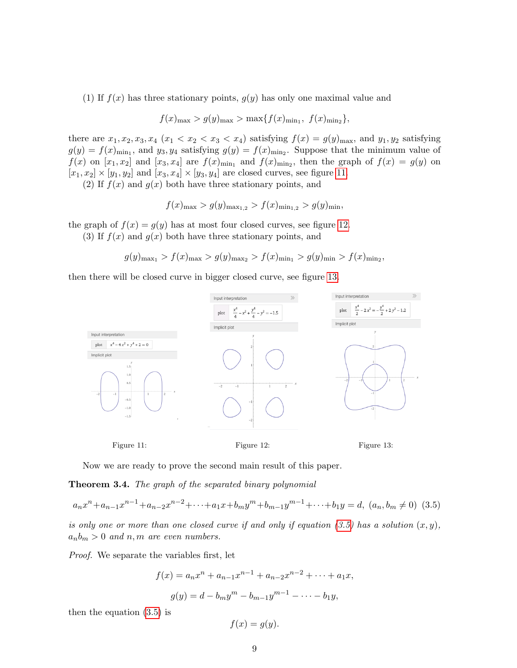(1) If  $f(x)$  has three stationary points,  $g(y)$  has only one maximal value and

$$
f(x)_{\max} > g(y)_{\max} > \max\{f(x)_{\min_1}, f(x)_{\min_2}\},
$$

there are  $x_1, x_2, x_3, x_4$   $(x_1 < x_2 < x_3 < x_4)$  satisfying  $f(x) = g(y)_{\text{max}}$ , and  $y_1, y_2$  satisfying  $g(y) = f(x)_{\min_1}$ , and  $y_3, y_4$  satisfying  $g(y) = f(x)_{\min_2}$ . Suppose that the minimum value of  $f(x)$  on  $[x_1, x_2]$  and  $[x_3, x_4]$  are  $f(x)_{\text{min}_1}$  and  $f(x)_{\text{min}_2}$ , then the graph of  $f(x) = g(y)$  on  $[x_1, x_2] \times [y_1, y_2]$  and  $[x_3, x_4] \times [y_3, y_4]$  are closed curves, see figure [11.](#page-8-0)

(2) If  $f(x)$  and  $g(x)$  both have three stationary points, and

$$
f(x)_{\max} > g(y)_{\max_{1,2}} > f(x)_{\min_{1,2}} > g(y)_{\min},
$$

the graph of  $f(x) = g(y)$  has at most four closed curves, see figure [12.](#page-8-1)

(3) If  $f(x)$  and  $g(x)$  both have three stationary points, and

$$
g(y)_{\max_1} > f(x)_{\max} > g(y)_{\max_2} > f(x)_{\min_1} > g(y)_{\min} > f(x)_{\min_2},
$$

then there will be closed curve in bigger closed curve, see figure [13.](#page-8-2)



<span id="page-8-0"></span>Now we are ready to prove the second main result of this paper.

**Theorem 3.4.** The graph of the separated binary polynomial

<span id="page-8-3"></span>
$$
a_n x^n + a_{n-1} x^{n-1} + a_{n-2} x^{n-2} + \dots + a_1 x + b_m y^m + b_{m-1} y^{m-1} + \dots + b_1 y = d, (a_n, b_m \neq 0) (3.5)
$$

is only one or more than one closed curve if and only if equation  $(3.5)$  has a solution  $(x, y)$ ,  $a_n b_m > 0$  and n, m are even numbers.

Proof. We separate the variables first, let

<span id="page-8-1"></span>
$$
f(x) = a_n x^n + a_{n-1} x^{n-1} + a_{n-2} x^{n-2} + \dots + a_1 x,
$$
  

$$
g(y) = d - b_m y^m - b_{m-1} y^{m-1} - \dots - b_1 y,
$$

then the equation [\(3.5\)](#page-8-3) is

<span id="page-8-2"></span>
$$
f(x) = g(y).
$$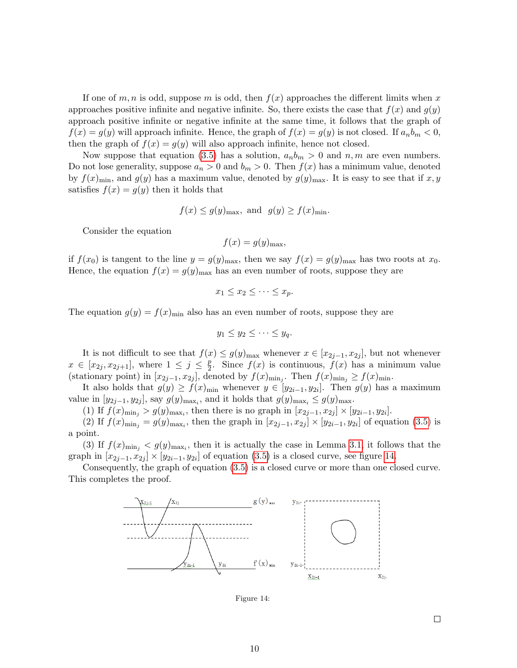If one of m, n is odd, suppose m is odd, then  $f(x)$  approaches the different limits when x approaches positive infinite and negative infinite. So, there exists the case that  $f(x)$  and  $g(y)$ approach positive infinite or negative infinite at the same time, it follows that the graph of  $f(x) = g(y)$  will approach infinite. Hence, the graph of  $f(x) = g(y)$  is not closed. If  $a_n b_m < 0$ , then the graph of  $f(x) = g(y)$  will also approach infinite, hence not closed.

Now suppose that equation [\(3.5\)](#page-8-3) has a solution,  $a_n b_m > 0$  and  $n, m$  are even numbers. Do not lose generality, suppose  $a_n > 0$  and  $b_m > 0$ . Then  $f(x)$  has a minimum value, denoted by  $f(x)_{\min}$ , and  $g(y)$  has a maximum value, denoted by  $g(y)_{\max}$ . It is easy to see that if x, y satisfies  $f(x) = g(y)$  then it holds that

$$
f(x) \le g(y)_{\text{max}}
$$
, and  $g(y) \ge f(x)_{\text{min}}$ .

Consider the equation

$$
f(x) = g(y)_{\text{max}},
$$

if  $f(x_0)$  is tangent to the line  $y = g(y)_{\text{max}}$ , then we say  $f(x) = g(y)_{\text{max}}$  has two roots at  $x_0$ . Hence, the equation  $f(x) = g(y)_{\text{max}}$  has an even number of roots, suppose they are

$$
x_1 \le x_2 \le \cdots \le x_p.
$$

The equation  $g(y) = f(x)_{\text{min}}$  also has an even number of roots, suppose they are

$$
y_1 \le y_2 \le \cdots \le y_q.
$$

It is not difficult to see that  $f(x) \le g(y)_{\text{max}}$  whenever  $x \in [x_{2j-1}, x_{2j}]$ , but not whenever  $x \in [x_{2j}, x_{2j+1}],$  where  $1 \leq j \leq \frac{p}{2}$  $\frac{p}{2}$ . Since  $f(x)$  is continuous,  $f(x)$  has a minimum value (stationary point) in  $[x_{2j-1}, x_{2j}]$ , denoted by  $f(x)_{\min_j}$ . Then  $f(x)_{\min_j} \ge f(x)_{\min_j}$ .

It also holds that  $g(y) \ge f(x)_{\min}$  whenever  $y \in [y_{2i-1}, y_{2i}]$ . Then  $g(y)$  has a maximum value in  $[y_{2j-1}, y_{2j}]$ , say  $g(y)_{\max_i}$ , and it holds that  $g(y)_{\max_i} \leq g(y)_{\max_i}$ .

(1) If  $f(x)_{\min_j} > g(y)_{\max_i}$ , then there is no graph in  $[x_{2j-1}, x_{2j}] \times [y_{2i-1}, y_{2i}]$ .

(2) If  $f(x)_{\min_j} = g(y)_{\max_i}$ , then the graph in  $[x_{2j-1}, x_{2j}] \times [y_{2i-1}, y_{2i}]$  of equation [\(3.5\)](#page-8-3) is a point.

(3) If  $f(x)_{\min_j} < g(y)_{\max_i}$ , then it is actually the case in Lemma [3.1,](#page-1-3) it follows that the graph in  $[x_{2j-1}, x_{2j}] \times [y_{2i-1}, y_{2i}]$  of equation  $(3.5)$  is a closed curve, see figure [14.](#page-9-0)

Consequently, the graph of equation [\(3.5\)](#page-8-3) is a closed curve or more than one closed curve. This completes the proof.



<span id="page-9-0"></span>Figure 14: